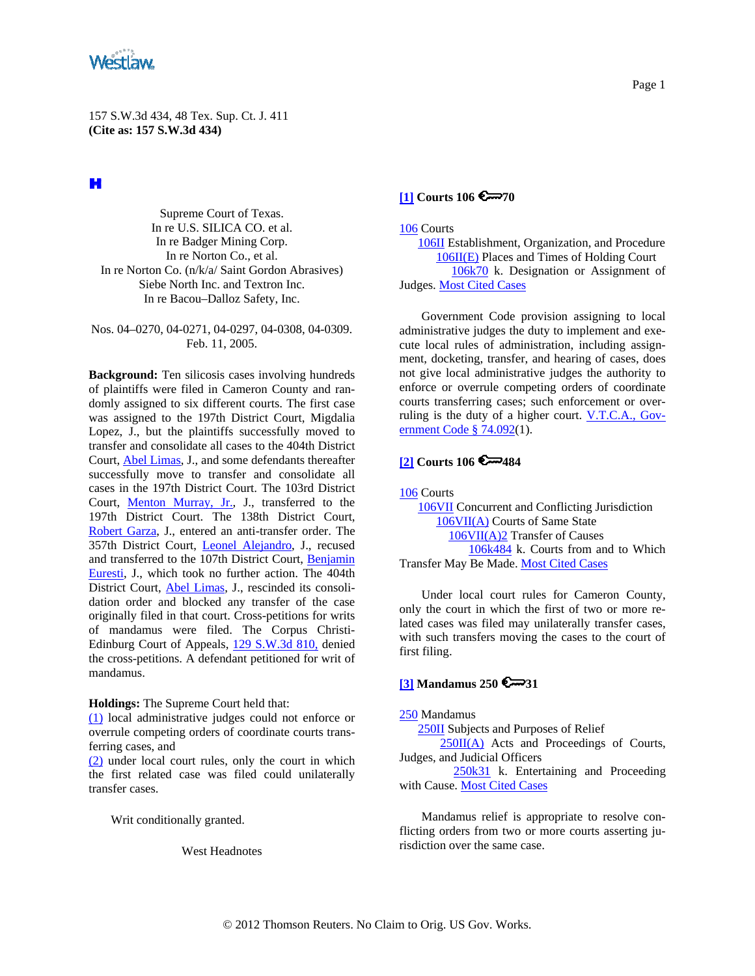<span id="page-0-0"></span>

H

Supreme Court of Texas. In re U.S. SILICA CO. et al. In re Badger Mining Corp. In re Norton Co., et al. In re Norton Co. (n/k/a/ Saint Gordon Abrasives) Siebe North Inc. and Textron Inc. In re Bacou–Dalloz Safety, Inc.

Nos. 04–0270, 04-0271, 04-0297, 04-0308, 04-0309. Feb. 11, 2005.

**Background:** Ten silicosis cases involving hundreds of plaintiffs were filed in Cameron County and randomly assigned to six different courts. The first case was assigned to the 197th District Court, Migdalia Lopez, J., but the plaintiffs successfully moved to transfer and consolidate all cases to the 404th District Court, [Abel Limas,](http://www.westlaw.com/Find/Default.wl?rs=dfa1.0&vr=2.0&DB=PROFILER-WLD&DocName=0298808501&FindType=h) J., and some defendants thereafter successfully move to transfer and consolidate all cases in the 197th District Court. The 103rd District Court, [Menton Murray, Jr.,](http://www.westlaw.com/Find/Default.wl?rs=dfa1.0&vr=2.0&DB=PROFILER-WLD&DocName=0247085701&FindType=h) J., transferred to the 197th District Court. The 138th District Court, [Robert Garza,](http://www.westlaw.com/Find/Default.wl?rs=dfa1.0&vr=2.0&DB=PROFILER-WLD&DocName=0191791401&FindType=h) J., entered an anti-transfer order. The 357th District Court, [Leonel Alejandro,](http://www.westlaw.com/Find/Default.wl?rs=dfa1.0&vr=2.0&DB=PROFILER-WLD&DocName=0294708701&FindType=h) J., recused and transferred to the 107th District Court, [Benjamin](http://www.westlaw.com/Find/Default.wl?rs=dfa1.0&vr=2.0&DB=PROFILER-WLD&DocName=0224724601&FindType=h)  [Euresti](http://www.westlaw.com/Find/Default.wl?rs=dfa1.0&vr=2.0&DB=PROFILER-WLD&DocName=0224724601&FindType=h), J., which took no further action. The 404th District Court, [Abel Limas](http://www.westlaw.com/Find/Default.wl?rs=dfa1.0&vr=2.0&DB=PROFILER-WLD&DocName=0298808501&FindType=h), J., rescinded its consolidation order and blocked any transfer of the case originally filed in that court. Cross-petitions for writs of mandamus were filed. The Corpus Christi-Edinburg Court of Appeals, [129 S.W.3d 810,](http://www.westlaw.com/Find/Default.wl?rs=dfa1.0&vr=2.0&DB=4644&FindType=Y&SerialNum=2004246977) denied the cross-petitions. A defendant petitioned for writ of mandamus.

**Holdings:** The Supreme Court held that:

[\(1\)](#page-2-0) local administrative judges could not enforce or overrule competing orders of coordinate courts transferring cases, and

[\(2\)](#page-2-0) under local court rules, only the court in which the first related case was filed could unilaterally transfer cases.

Writ conditionally granted.

West Headnotes

## **[\[1\]](#page-2-0) Courts 106 70**

[106](http://www.westlaw.com/KeyNumber/Default.wl?rs=dfa1.0&vr=2.0&CMD=KEY&DocName=106) Courts

 [106II](http://www.westlaw.com/KeyNumber/Default.wl?rs=dfa1.0&vr=2.0&CMD=KEY&DocName=106II) Establishment, Organization, and Procedure [106II\(E\)](http://www.westlaw.com/KeyNumber/Default.wl?rs=dfa1.0&vr=2.0&CMD=KEY&DocName=106II%28E%29) Places and Times of Holding Court [106k70](http://www.westlaw.com/KeyNumber/Default.wl?rs=dfa1.0&vr=2.0&CMD=KEY&DocName=106k70) k. Designation or Assignment of Judges. [Most Cited Cases](http://www.westlaw.com/Digest/Default.wl?rs=dfa1.0&vr=2.0&CMD=MCC&DocName=106k70)

Government Code provision assigning to local administrative judges the duty to implement and execute local rules of administration, including assignment, docketing, transfer, and hearing of cases, does not give local administrative judges the authority to enforce or overrule competing orders of coordinate courts transferring cases; such enforcement or overruling is the duty of a higher court. [V.T.C.A., Gov](http://www.westlaw.com/Find/Default.wl?rs=dfa1.0&vr=2.0&DB=1000176&DocName=TXGTS74.092&FindType=L)[ernment Code § 74.092\(](http://www.westlaw.com/Find/Default.wl?rs=dfa1.0&vr=2.0&DB=1000176&DocName=TXGTS74.092&FindType=L)1).

### **[\[2\]](#page-2-0) Courts 106 484**

[106](http://www.westlaw.com/KeyNumber/Default.wl?rs=dfa1.0&vr=2.0&CMD=KEY&DocName=106) Courts [106VII](http://www.westlaw.com/KeyNumber/Default.wl?rs=dfa1.0&vr=2.0&CMD=KEY&DocName=106VII) Concurrent and Conflicting Jurisdiction [106VII\(A\)](http://www.westlaw.com/KeyNumber/Default.wl?rs=dfa1.0&vr=2.0&CMD=KEY&DocName=106VII%28A%29) Courts of Same State [106VII\(A\)2](http://www.westlaw.com/KeyNumber/Default.wl?rs=dfa1.0&vr=2.0&CMD=KEY&DocName=106VII%28A%292) Transfer of Causes [106k484](http://www.westlaw.com/KeyNumber/Default.wl?rs=dfa1.0&vr=2.0&CMD=KEY&DocName=106k484) k. Courts from and to Which

Transfer May Be Made. [Most Cited Cases](http://www.westlaw.com/Digest/Default.wl?rs=dfa1.0&vr=2.0&CMD=MCC&DocName=106k484)

Under local court rules for Cameron County, only the court in which the first of two or more related cases was filed may unilaterally transfer cases, with such transfers moving the cases to the court of first filing.

## **[\[3\]](#page-3-0) Mandamus 250 6 31**

#### [250](http://www.westlaw.com/KeyNumber/Default.wl?rs=dfa1.0&vr=2.0&CMD=KEY&DocName=250) Mandamus

[250II](http://www.westlaw.com/KeyNumber/Default.wl?rs=dfa1.0&vr=2.0&CMD=KEY&DocName=250II) Subjects and Purposes of Relief

 $250II(A)$  Acts and Proceedings of Courts, Judges, and Judicial Officers

 [250k31](http://www.westlaw.com/KeyNumber/Default.wl?rs=dfa1.0&vr=2.0&CMD=KEY&DocName=250k31) k. Entertaining and Proceeding with Cause. [Most Cited Cases](http://www.westlaw.com/Digest/Default.wl?rs=dfa1.0&vr=2.0&CMD=MCC&DocName=250k31)

Mandamus relief is appropriate to resolve conflicting orders from two or more courts asserting jurisdiction over the same case.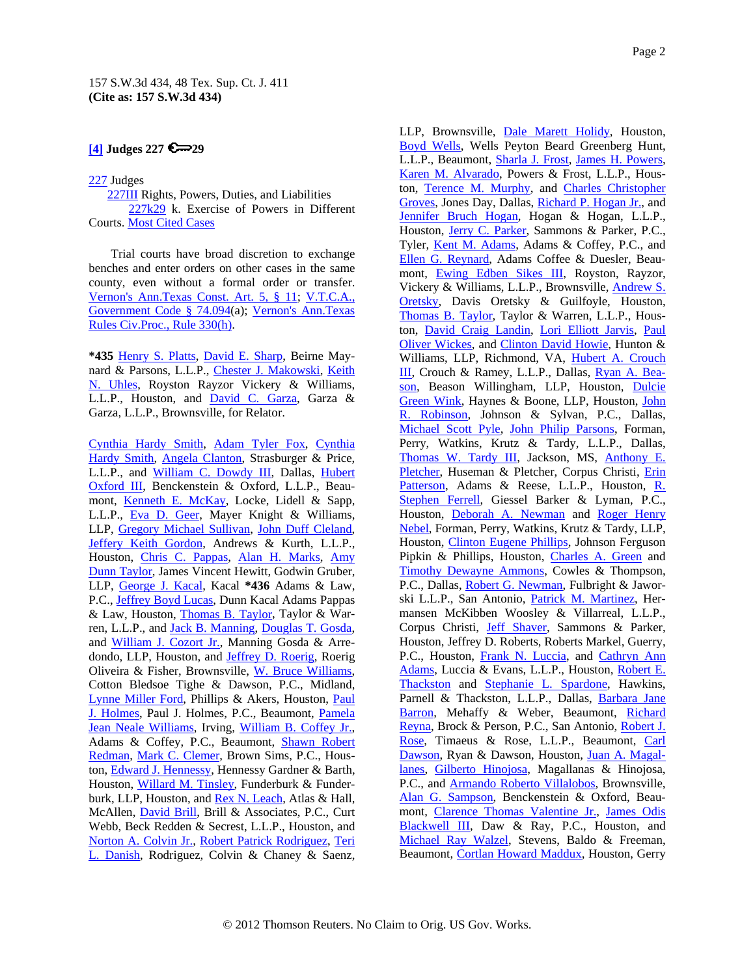# <span id="page-1-0"></span>**[4] Judges 227**  $\approx$ 29

### [227](http://www.westlaw.com/KeyNumber/Default.wl?rs=dfa1.0&vr=2.0&CMD=KEY&DocName=227) Judges

 [227III](http://www.westlaw.com/KeyNumber/Default.wl?rs=dfa1.0&vr=2.0&CMD=KEY&DocName=227III) Rights, Powers, Duties, and Liabilities [227k29](http://www.westlaw.com/KeyNumber/Default.wl?rs=dfa1.0&vr=2.0&CMD=KEY&DocName=227k29) k. Exercise of Powers in Different Courts. [Most Cited Cases](http://www.westlaw.com/Digest/Default.wl?rs=dfa1.0&vr=2.0&CMD=MCC&DocName=227k29)

Trial courts have broad discretion to exchange benches and enter orders on other cases in the same county, even without a formal order or transfer. [Vernon's Ann.Texas Const. Art. 5, § 11](http://www.westlaw.com/Find/Default.wl?rs=dfa1.0&vr=2.0&DB=1000301&DocName=TXCNART5S11&FindType=L); [V.T.C.A.,](http://www.westlaw.com/Find/Default.wl?rs=dfa1.0&vr=2.0&DB=1000176&DocName=TXGTS74.094&FindType=L)  [Government Code § 74.094](http://www.westlaw.com/Find/Default.wl?rs=dfa1.0&vr=2.0&DB=1000176&DocName=TXGTS74.094&FindType=L)(a); [Vernon's Ann.Texas](http://www.westlaw.com/Find/Default.wl?rs=dfa1.0&vr=2.0&DB=1005302&DocName=TXRRCPR330&FindType=L)  [Rules Civ.Proc., Rule 330\(h\)](http://www.westlaw.com/Find/Default.wl?rs=dfa1.0&vr=2.0&DB=1005302&DocName=TXRRCPR330&FindType=L).

**\*435** [Henry S. Platts,](http://www.westlaw.com/Find/Default.wl?rs=dfa1.0&vr=2.0&DB=PROFILER-WLD&DocName=0132557101&FindType=h) [David E. Sharp](http://www.westlaw.com/Find/Default.wl?rs=dfa1.0&vr=2.0&DB=PROFILER-WLD&DocName=0104451401&FindType=h), Beirne Maynard & Parsons, L.L.P., [Chester J. Makowski,](http://www.westlaw.com/Find/Default.wl?rs=dfa1.0&vr=2.0&DB=PROFILER-WLD&DocName=0257168001&FindType=h) [Keith](http://www.westlaw.com/Find/Default.wl?rs=dfa1.0&vr=2.0&DB=PROFILER-WLD&DocName=0139243001&FindType=h)  [N. Uhles,](http://www.westlaw.com/Find/Default.wl?rs=dfa1.0&vr=2.0&DB=PROFILER-WLD&DocName=0139243001&FindType=h) Royston Rayzor Vickery & Williams, L.L.P., Houston, and [David C. Garza,](http://www.westlaw.com/Find/Default.wl?rs=dfa1.0&vr=2.0&DB=PROFILER-WLD&DocName=0185416601&FindType=h) Garza & Garza, L.L.P., Brownsville, for Relator.

[Cynthia Hardy Smith,](http://www.westlaw.com/Find/Default.wl?rs=dfa1.0&vr=2.0&DB=PROFILER-WLD&DocName=0323126601&FindType=h) [Adam Tyler Fox,](http://www.westlaw.com/Find/Default.wl?rs=dfa1.0&vr=2.0&DB=PROFILER-WLD&DocName=0322640901&FindType=h) [Cynthia](http://www.westlaw.com/Find/Default.wl?rs=dfa1.0&vr=2.0&DB=PROFILER-WLD&DocName=0323126601&FindType=h)  [Hardy Smith,](http://www.westlaw.com/Find/Default.wl?rs=dfa1.0&vr=2.0&DB=PROFILER-WLD&DocName=0323126601&FindType=h) [Angela Clanton](http://www.westlaw.com/Find/Default.wl?rs=dfa1.0&vr=2.0&DB=PROFILER-WLD&DocName=0333908501&FindType=h), Strasburger & Price, L.L.P., and [William C. Dowdy III,](http://www.westlaw.com/Find/Default.wl?rs=dfa1.0&vr=2.0&DB=PROFILER-WLD&DocName=0322644401&FindType=h) Dallas, Hubert [Oxford III,](http://www.westlaw.com/Find/Default.wl?rs=dfa1.0&vr=2.0&DB=PROFILER-WLD&DocName=0247472801&FindType=h) Benckenstein & Oxford, L.L.P., Beau-mont, [Kenneth E. McKay](http://www.westlaw.com/Find/Default.wl?rs=dfa1.0&vr=2.0&DB=PROFILER-WLD&DocName=0155394801&FindType=h), Locke, Lidell & Sapp, L.L.P., [Eva D. Geer,](http://www.westlaw.com/Find/Default.wl?rs=dfa1.0&vr=2.0&DB=PROFILER-WLD&DocName=0297497601&FindType=h) Mayer Knight & Williams, LLP, [Gregory Michael Sullivan,](http://www.westlaw.com/Find/Default.wl?rs=dfa1.0&vr=2.0&DB=PROFILER-WLD&DocName=0163181901&FindType=h) [John Duff Cleland,](http://www.westlaw.com/Find/Default.wl?rs=dfa1.0&vr=2.0&DB=PROFILER-WLD&DocName=0325422801&FindType=h) [Jeffery Keith Gordon](http://www.westlaw.com/Find/Default.wl?rs=dfa1.0&vr=2.0&DB=PROFILER-WLD&DocName=0101303301&FindType=h), Andrews & Kurth, L.L.P., Houston, [Chris C. Pappas](http://www.westlaw.com/Find/Default.wl?rs=dfa1.0&vr=2.0&DB=PROFILER-WLD&DocName=0100375401&FindType=h), [Alan H. Marks,](http://www.westlaw.com/Find/Default.wl?rs=dfa1.0&vr=2.0&DB=PROFILER-WLD&DocName=0212066301&FindType=h) [Amy](http://www.westlaw.com/Find/Default.wl?rs=dfa1.0&vr=2.0&DB=PROFILER-WLD&DocName=0327633301&FindType=h)  [Dunn Taylor](http://www.westlaw.com/Find/Default.wl?rs=dfa1.0&vr=2.0&DB=PROFILER-WLD&DocName=0327633301&FindType=h), James Vincent Hewitt, Godwin Gruber, LLP, [George J. Kacal](http://www.westlaw.com/Find/Default.wl?rs=dfa1.0&vr=2.0&DB=PROFILER-WLD&DocName=0358257601&FindType=h), Kacal **\*436** Adams & Law, P.C., **Jeffrey Boyd Lucas**, Dunn Kacal Adams Pappas & Law, Houston, [Thomas B. Taylor,](http://www.westlaw.com/Find/Default.wl?rs=dfa1.0&vr=2.0&DB=PROFILER-WLD&DocName=0398823901&FindType=h) Taylor & Warren, L.L.P., and [Jack B. Manning,](http://www.westlaw.com/Find/Default.wl?rs=dfa1.0&vr=2.0&DB=PROFILER-WLD&DocName=0248154101&FindType=h) [Douglas T. Gosda](http://www.westlaw.com/Find/Default.wl?rs=dfa1.0&vr=2.0&DB=PROFILER-WLD&DocName=0177731801&FindType=h), and [William J. Cozort Jr.](http://www.westlaw.com/Find/Default.wl?rs=dfa1.0&vr=2.0&DB=PROFILER-WLD&DocName=0194501601&FindType=h), Manning Gosda & Arredondo, LLP, Houston, and [Jeffrey D. Roerig](http://www.westlaw.com/Find/Default.wl?rs=dfa1.0&vr=2.0&DB=PROFILER-WLD&DocName=0159427801&FindType=h), Roerig Oliveira & Fisher, Brownsville, [W. Bruce Williams](http://www.westlaw.com/Find/Default.wl?rs=dfa1.0&vr=2.0&DB=PROFILER-WLD&DocName=0139267801&FindType=h), Cotton Bledsoe Tighe & Dawson, P.C., Midland, [Lynne Miller Ford,](http://www.westlaw.com/Find/Default.wl?rs=dfa1.0&vr=2.0&DB=PROFILER-WLD&DocName=0155262101&FindType=h) Phillips & Akers, Houston, [Paul](http://www.westlaw.com/Find/Default.wl?rs=dfa1.0&vr=2.0&DB=PROFILER-WLD&DocName=0357999401&FindType=h)  [J. Holmes](http://www.westlaw.com/Find/Default.wl?rs=dfa1.0&vr=2.0&DB=PROFILER-WLD&DocName=0357999401&FindType=h), Paul J. Holmes, P.C., Beaumont, [Pamela](http://www.westlaw.com/Find/Default.wl?rs=dfa1.0&vr=2.0&DB=PROFILER-WLD&DocName=0232086501&FindType=h)  [Jean Neale Williams](http://www.westlaw.com/Find/Default.wl?rs=dfa1.0&vr=2.0&DB=PROFILER-WLD&DocName=0232086501&FindType=h), Irving, [William B. Coffey Jr.,](http://www.westlaw.com/Find/Default.wl?rs=dfa1.0&vr=2.0&DB=PROFILER-WLD&DocName=0338326901&FindType=h) Adams & Coffey, P.C., Beaumont, [Shawn Robert](http://www.westlaw.com/Find/Default.wl?rs=dfa1.0&vr=2.0&DB=PROFILER-WLD&DocName=0370957001&FindType=h)  [Redman](http://www.westlaw.com/Find/Default.wl?rs=dfa1.0&vr=2.0&DB=PROFILER-WLD&DocName=0370957001&FindType=h), [Mark C. Clemer](http://www.westlaw.com/Find/Default.wl?rs=dfa1.0&vr=2.0&DB=PROFILER-WLD&DocName=0102854001&FindType=h), Brown Sims, P.C., Houston, [Edward J. Hennessy](http://www.westlaw.com/Find/Default.wl?rs=dfa1.0&vr=2.0&DB=PROFILER-WLD&DocName=0147335901&FindType=h), Hennessy Gardner & Barth, Houston, [Willard M. Tinsley,](http://www.westlaw.com/Find/Default.wl?rs=dfa1.0&vr=2.0&DB=PROFILER-WLD&DocName=0104953101&FindType=h) Funderburk & Funder-burk, LLP, Houston, and [Rex N. Leach](http://www.westlaw.com/Find/Default.wl?rs=dfa1.0&vr=2.0&DB=PROFILER-WLD&DocName=0222828101&FindType=h), Atlas & Hall, McAllen, [David Brill,](http://www.westlaw.com/Find/Default.wl?rs=dfa1.0&vr=2.0&DB=PROFILER-WLD&DocName=0230140701&FindType=h) Brill & Associates, P.C., Curt Webb, Beck Redden & Secrest, L.L.P., Houston, and [Norton A. Colvin Jr.,](http://www.westlaw.com/Find/Default.wl?rs=dfa1.0&vr=2.0&DB=PROFILER-WLD&DocName=0168900401&FindType=h) [Robert Patrick Rodriguez,](http://www.westlaw.com/Find/Default.wl?rs=dfa1.0&vr=2.0&DB=PROFILER-WLD&DocName=0308612601&FindType=h) [Teri](http://www.westlaw.com/Find/Default.wl?rs=dfa1.0&vr=2.0&DB=PROFILER-WLD&DocName=0316826601&FindType=h)  [L. Danish,](http://www.westlaw.com/Find/Default.wl?rs=dfa1.0&vr=2.0&DB=PROFILER-WLD&DocName=0316826601&FindType=h) Rodriguez, Colvin & Chaney & Saenz,

LLP, Brownsville, [Dale Marett Holidy,](http://www.westlaw.com/Find/Default.wl?rs=dfa1.0&vr=2.0&DB=PROFILER-WLD&DocName=0256406401&FindType=h) Houston, [Boyd Wells,](http://www.westlaw.com/Find/Default.wl?rs=dfa1.0&vr=2.0&DB=PROFILER-WLD&DocName=0141429101&FindType=h) Wells Peyton Beard Greenberg Hunt, L.L.P., Beaumont, [Sharla J. Frost](http://www.westlaw.com/Find/Default.wl?rs=dfa1.0&vr=2.0&DB=PROFILER-WLD&DocName=0246145001&FindType=h), [James H. Powers,](http://www.westlaw.com/Find/Default.wl?rs=dfa1.0&vr=2.0&DB=PROFILER-WLD&DocName=0103415801&FindType=h) [Karen M. Alvarado](http://www.westlaw.com/Find/Default.wl?rs=dfa1.0&vr=2.0&DB=PROFILER-WLD&DocName=0149372601&FindType=h), Powers & Frost, L.L.P., Houston, [Terence M. Murphy](http://www.westlaw.com/Find/Default.wl?rs=dfa1.0&vr=2.0&DB=PROFILER-WLD&DocName=0248496501&FindType=h), and [Charles Christopher](http://www.westlaw.com/Find/Default.wl?rs=dfa1.0&vr=2.0&DB=PROFILER-WLD&DocName=0263351101&FindType=h)  [Groves,](http://www.westlaw.com/Find/Default.wl?rs=dfa1.0&vr=2.0&DB=PROFILER-WLD&DocName=0263351101&FindType=h) Jones Day, Dallas, [Richard P. Hogan Jr.](http://www.westlaw.com/Find/Default.wl?rs=dfa1.0&vr=2.0&DB=PROFILER-WLD&DocName=0211947901&FindType=h), and [Jennifer Bruch Hogan](http://www.westlaw.com/Find/Default.wl?rs=dfa1.0&vr=2.0&DB=PROFILER-WLD&DocName=0126393701&FindType=h), Hogan & Hogan, L.L.P., Houston, [Jerry C. Parker,](http://www.westlaw.com/Find/Default.wl?rs=dfa1.0&vr=2.0&DB=PROFILER-WLD&DocName=0171439401&FindType=h) Sammons & Parker, P.C., Tyler, [Kent M. Adams](http://www.westlaw.com/Find/Default.wl?rs=dfa1.0&vr=2.0&DB=PROFILER-WLD&DocName=0111713401&FindType=h), Adams & Coffey, P.C., and [Ellen G. Reynard,](http://www.westlaw.com/Find/Default.wl?rs=dfa1.0&vr=2.0&DB=PROFILER-WLD&DocName=0146392001&FindType=h) Adams Coffee & Duesler, Beau-mont, [Ewing Edben Sikes III,](http://www.westlaw.com/Find/Default.wl?rs=dfa1.0&vr=2.0&DB=PROFILER-WLD&DocName=0135753101&FindType=h) Royston, Rayzor, Vickery & Williams, L.L.P., Brownsville, [Andrew S.](http://www.westlaw.com/Find/Default.wl?rs=dfa1.0&vr=2.0&DB=PROFILER-WLD&DocName=0161317201&FindType=h)  [Oretsky,](http://www.westlaw.com/Find/Default.wl?rs=dfa1.0&vr=2.0&DB=PROFILER-WLD&DocName=0161317201&FindType=h) Davis Oretsky & Guilfoyle, Houston, [Thomas B. Taylor,](http://www.westlaw.com/Find/Default.wl?rs=dfa1.0&vr=2.0&DB=PROFILER-WLD&DocName=0248036901&FindType=h) Taylor & Warren, L.L.P., Hous-ton, [David Craig Landin](http://www.westlaw.com/Find/Default.wl?rs=dfa1.0&vr=2.0&DB=PROFILER-WLD&DocName=0198060501&FindType=h), [Lori Elliott Jarvis](http://www.westlaw.com/Find/Default.wl?rs=dfa1.0&vr=2.0&DB=PROFILER-WLD&DocName=0350657701&FindType=h), Paul [Oliver Wickes,](http://www.westlaw.com/Find/Default.wl?rs=dfa1.0&vr=2.0&DB=PROFILER-WLD&DocName=0168538201&FindType=h) and [Clinton David Howie](http://www.westlaw.com/Find/Default.wl?rs=dfa1.0&vr=2.0&DB=PROFILER-WLD&DocName=0328579201&FindType=h), Hunton & Williams, LLP, Richmond, VA, Hubert A. Crouch [III,](http://www.westlaw.com/Find/Default.wl?rs=dfa1.0&vr=2.0&DB=PROFILER-WLD&DocName=0141590201&FindType=h) Crouch & Ramey, L.L.P., Dallas, [Ryan A. Bea](http://www.westlaw.com/Find/Default.wl?rs=dfa1.0&vr=2.0&DB=PROFILER-WLD&DocName=0103271201&FindType=h)[son,](http://www.westlaw.com/Find/Default.wl?rs=dfa1.0&vr=2.0&DB=PROFILER-WLD&DocName=0103271201&FindType=h) Beason Willingham, LLP, Houston, [Dulcie](http://www.westlaw.com/Find/Default.wl?rs=dfa1.0&vr=2.0&DB=PROFILER-WLD&DocName=0252901001&FindType=h)  [Green Wink](http://www.westlaw.com/Find/Default.wl?rs=dfa1.0&vr=2.0&DB=PROFILER-WLD&DocName=0252901001&FindType=h), Haynes & Boone, LLP, Houston, John [R. Robinson](http://www.westlaw.com/Find/Default.wl?rs=dfa1.0&vr=2.0&DB=PROFILER-WLD&DocName=0319311601&FindType=h), Johnson & Sylvan, P.C., Dallas, [Michael Scott Pyle,](http://www.westlaw.com/Find/Default.wl?rs=dfa1.0&vr=2.0&DB=PROFILER-WLD&DocName=0336374801&FindType=h) [John Philip Parsons](http://www.westlaw.com/Find/Default.wl?rs=dfa1.0&vr=2.0&DB=PROFILER-WLD&DocName=0294046801&FindType=h), Forman, Perry, Watkins, Krutz & Tardy, L.L.P., Dallas, [Thomas W. Tardy III,](http://www.westlaw.com/Find/Default.wl?rs=dfa1.0&vr=2.0&DB=PROFILER-WLD&DocName=0127666401&FindType=h) Jackson, MS, Anthony E. [Pletcher,](http://www.westlaw.com/Find/Default.wl?rs=dfa1.0&vr=2.0&DB=PROFILER-WLD&DocName=0153873101&FindType=h) Huseman & Pletcher, Corpus Christi, [Erin](http://www.westlaw.com/Find/Default.wl?rs=dfa1.0&vr=2.0&DB=PROFILER-WLD&DocName=0158624001&FindType=h)  [Patterson](http://www.westlaw.com/Find/Default.wl?rs=dfa1.0&vr=2.0&DB=PROFILER-WLD&DocName=0158624001&FindType=h), Adams & Reese, L.L.P., Houston, R. [Stephen Ferrell,](http://www.westlaw.com/Find/Default.wl?rs=dfa1.0&vr=2.0&DB=PROFILER-WLD&DocName=0250851001&FindType=h) Giessel Barker & Lyman, P.C., Houston, [Deborah A. Newman](http://www.westlaw.com/Find/Default.wl?rs=dfa1.0&vr=2.0&DB=PROFILER-WLD&DocName=0167054601&FindType=h) and Roger Henry [Nebel,](http://www.westlaw.com/Find/Default.wl?rs=dfa1.0&vr=2.0&DB=PROFILER-WLD&DocName=0319855601&FindType=h) Forman, Perry, Watkins, Krutz & Tardy, LLP, Houston, [Clinton Eugene Phillips,](http://www.westlaw.com/Find/Default.wl?rs=dfa1.0&vr=2.0&DB=PROFILER-WLD&DocName=0109349601&FindType=h) Johnson Ferguson Pipkin & Phillips, Houston, [Charles A. Green](http://www.westlaw.com/Find/Default.wl?rs=dfa1.0&vr=2.0&DB=PROFILER-WLD&DocName=0134715901&FindType=h) and [Timothy Dewayne Ammons,](http://www.westlaw.com/Find/Default.wl?rs=dfa1.0&vr=2.0&DB=PROFILER-WLD&DocName=0316867601&FindType=h) Cowles & Thompson, P.C., Dallas, [Robert G. Newman](http://www.westlaw.com/Find/Default.wl?rs=dfa1.0&vr=2.0&DB=PROFILER-WLD&DocName=0101100001&FindType=h), Fulbright & Jawor-ski L.L.P., San Antonio, [Patrick M. Martinez,](http://www.westlaw.com/Find/Default.wl?rs=dfa1.0&vr=2.0&DB=PROFILER-WLD&DocName=0194668301&FindType=h) Hermansen McKibben Woosley & Villarreal, L.L.P., Corpus Christi, [Jeff Shaver,](http://www.westlaw.com/Find/Default.wl?rs=dfa1.0&vr=2.0&DB=PROFILER-WLD&DocName=0159724001&FindType=h) Sammons & Parker, Houston, Jeffrey D. Roberts, Roberts Markel, Guerry, P.C., Houston, [Frank N. Luccia](http://www.westlaw.com/Find/Default.wl?rs=dfa1.0&vr=2.0&DB=PROFILER-WLD&DocName=0104720301&FindType=h), and Cathryn Ann [Adams](http://www.westlaw.com/Find/Default.wl?rs=dfa1.0&vr=2.0&DB=PROFILER-WLD&DocName=0355708601&FindType=h), Luccia & Evans, L.L.P., Houston, Robert E. [Thackston](http://www.westlaw.com/Find/Default.wl?rs=dfa1.0&vr=2.0&DB=PROFILER-WLD&DocName=0155567101&FindType=h) and [Stephanie L. Spardone,](http://www.westlaw.com/Find/Default.wl?rs=dfa1.0&vr=2.0&DB=PROFILER-WLD&DocName=0244603801&FindType=h) Hawkins, Parnell & Thackston, L.L.P., Dallas, Barbara Jane [Barron,](http://www.westlaw.com/Find/Default.wl?rs=dfa1.0&vr=2.0&DB=PROFILER-WLD&DocName=0161216001&FindType=h) Mehaffy & Weber, Beaumont, Richard [Reyna,](http://www.westlaw.com/Find/Default.wl?rs=dfa1.0&vr=2.0&DB=PROFILER-WLD&DocName=0342756001&FindType=h) Brock & Person, P.C., San Antonio, [Robert J.](http://www.westlaw.com/Find/Default.wl?rs=dfa1.0&vr=2.0&DB=PROFILER-WLD&DocName=0102763101&FindType=h)  [Rose,](http://www.westlaw.com/Find/Default.wl?rs=dfa1.0&vr=2.0&DB=PROFILER-WLD&DocName=0102763101&FindType=h) Timaeus & Rose, L.L.P., Beaumont, [Carl](http://www.westlaw.com/Find/Default.wl?rs=dfa1.0&vr=2.0&DB=PROFILER-WLD&DocName=0256609901&FindType=h)  [Dawson,](http://www.westlaw.com/Find/Default.wl?rs=dfa1.0&vr=2.0&DB=PROFILER-WLD&DocName=0256609901&FindType=h) Ryan & Dawson, Houston, [Juan A. Magal](http://www.westlaw.com/Find/Default.wl?rs=dfa1.0&vr=2.0&DB=PROFILER-WLD&DocName=0137502101&FindType=h)[lanes,](http://www.westlaw.com/Find/Default.wl?rs=dfa1.0&vr=2.0&DB=PROFILER-WLD&DocName=0137502101&FindType=h) [Gilberto Hinojosa,](http://www.westlaw.com/Find/Default.wl?rs=dfa1.0&vr=2.0&DB=PROFILER-WLD&DocName=0117235701&FindType=h) Magallanas & Hinojosa, P.C., and [Armando Roberto Villalobos,](http://www.westlaw.com/Find/Default.wl?rs=dfa1.0&vr=2.0&DB=PROFILER-WLD&DocName=0166147401&FindType=h) Brownsville, [Alan G. Sampson](http://www.westlaw.com/Find/Default.wl?rs=dfa1.0&vr=2.0&DB=PROFILER-WLD&DocName=0135556501&FindType=h), Benckenstein & Oxford, Beaumont, [Clarence Thomas Valentine Jr.,](http://www.westlaw.com/Find/Default.wl?rs=dfa1.0&vr=2.0&DB=PROFILER-WLD&DocName=0161749101&FindType=h) [James Odis](http://www.westlaw.com/Find/Default.wl?rs=dfa1.0&vr=2.0&DB=PROFILER-WLD&DocName=0356380701&FindType=h)  [Blackwell III](http://www.westlaw.com/Find/Default.wl?rs=dfa1.0&vr=2.0&DB=PROFILER-WLD&DocName=0356380701&FindType=h), Daw & Ray, P.C., Houston, and [Michael Ray Walzel](http://www.westlaw.com/Find/Default.wl?rs=dfa1.0&vr=2.0&DB=PROFILER-WLD&DocName=0214150801&FindType=h), Stevens, Baldo & Freeman, Beaumont, [Cortlan Howard Maddux,](http://www.westlaw.com/Find/Default.wl?rs=dfa1.0&vr=2.0&DB=PROFILER-WLD&DocName=0304329401&FindType=h) Houston, Gerry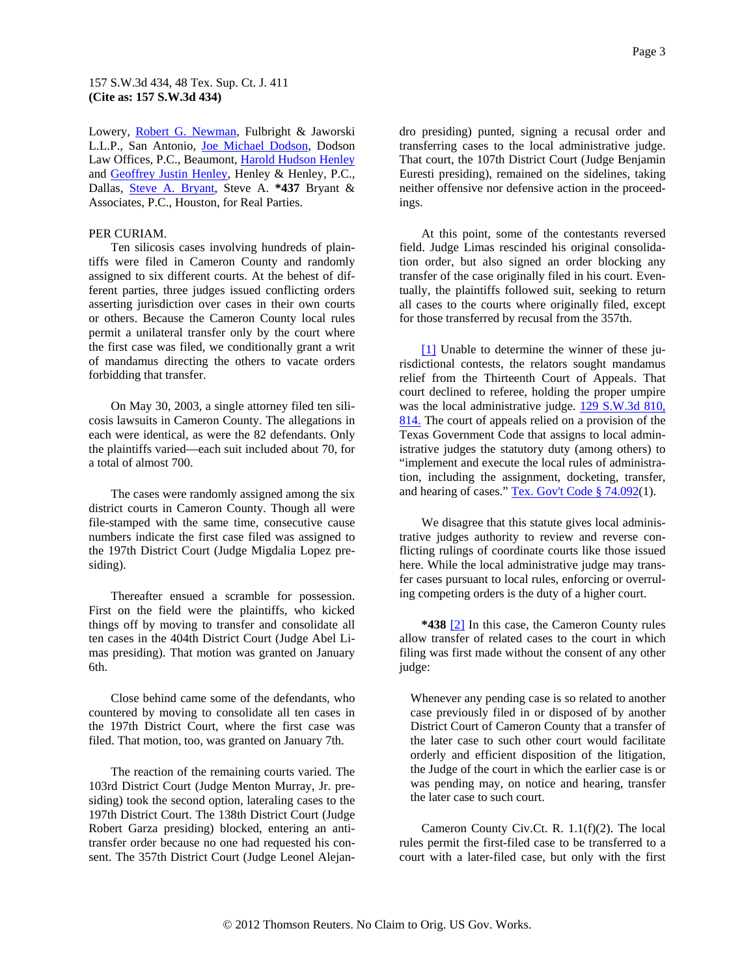<span id="page-2-0"></span>Lowery, [Robert G. Newman,](http://www.westlaw.com/Find/Default.wl?rs=dfa1.0&vr=2.0&DB=PROFILER-WLD&DocName=0101100001&FindType=h) Fulbright & Jaworski L.L.P., San Antonio, [Joe Michael Dodson,](http://www.westlaw.com/Find/Default.wl?rs=dfa1.0&vr=2.0&DB=PROFILER-WLD&DocName=0131805001&FindType=h) Dodson Law Offices, P.C., Beaumont, [Harold Hudson Henley](http://www.westlaw.com/Find/Default.wl?rs=dfa1.0&vr=2.0&DB=PROFILER-WLD&DocName=0302425701&FindType=h) and [Geoffrey Justin Henley,](http://www.westlaw.com/Find/Default.wl?rs=dfa1.0&vr=2.0&DB=PROFILER-WLD&DocName=0373191101&FindType=h) Henley & Henley, P.C., Dallas, [Steve A. Bryant](http://www.westlaw.com/Find/Default.wl?rs=dfa1.0&vr=2.0&DB=PROFILER-WLD&DocName=0116899901&FindType=h), Steve A. **\*437** Bryant & Associates, P.C., Houston, for Real Parties.

#### PER CURIAM.

Ten silicosis cases involving hundreds of plaintiffs were filed in Cameron County and randomly assigned to six different courts. At the behest of different parties, three judges issued conflicting orders asserting jurisdiction over cases in their own courts or others. Because the Cameron County local rules permit a unilateral transfer only by the court where the first case was filed, we conditionally grant a writ of mandamus directing the others to vacate orders forbidding that transfer.

On May 30, 2003, a single attorney filed ten silicosis lawsuits in Cameron County. The allegations in each were identical, as were the 82 defendants. Only the plaintiffs varied—each suit included about 70, for a total of almost 700.

The cases were randomly assigned among the six district courts in Cameron County. Though all were file-stamped with the same time, consecutive cause numbers indicate the first case filed was assigned to the 197th District Court (Judge Migdalia Lopez presiding).

Thereafter ensued a scramble for possession. First on the field were the plaintiffs, who kicked things off by moving to transfer and consolidate all ten cases in the 404th District Court (Judge Abel Limas presiding). That motion was granted on January 6th.

Close behind came some of the defendants, who countered by moving to consolidate all ten cases in the 197th District Court, where the first case was filed. That motion, too, was granted on January 7th.

The reaction of the remaining courts varied. The 103rd District Court (Judge Menton Murray, Jr. presiding) took the second option, lateraling cases to the 197th District Court. The 138th District Court (Judge Robert Garza presiding) blocked, entering an antitransfer order because no one had requested his consent. The 357th District Court (Judge Leonel Alejandro presiding) punted, signing a recusal order and transferring cases to the local administrative judge. That court, the 107th District Court (Judge Benjamin Euresti presiding), remained on the sidelines, taking neither offensive nor defensive action in the proceedings.

At this point, some of the contestants reversed field. Judge Limas rescinded his original consolidation order, but also signed an order blocking any transfer of the case originally filed in his court. Eventually, the plaintiffs followed suit, seeking to return all cases to the courts where originally filed, except for those transferred by recusal from the 357th.

[\[1\]](#page-0-0) Unable to determine the winner of these jurisdictional contests, the relators sought mandamus relief from the Thirteenth Court of Appeals. That court declined to referee, holding the proper umpire was the local administrative judge.  $129$  S.W.3d 810, [814.](http://www.westlaw.com/Find/Default.wl?rs=dfa1.0&vr=2.0&DB=4644&FindType=Y&ReferencePositionType=S&SerialNum=2004246977&ReferencePosition=814) The court of appeals relied on a provision of the Texas Government Code that assigns to local administrative judges the statutory duty (among others) to "implement and execute the local rules of administration, including the assignment, docketing, transfer, and hearing of cases." [Tex. Gov't Code § 74.092](http://www.westlaw.com/Find/Default.wl?rs=dfa1.0&vr=2.0&DB=1000176&DocName=TXGTS74.092&FindType=L)(1).

We disagree that this statute gives local administrative judges authority to review and reverse conflicting rulings of coordinate courts like those issued here. While the local administrative judge may transfer cases pursuant to local rules, enforcing or overruling competing orders is the duty of a higher court.

**\*438** [\[2\]](#page-0-0) In this case, the Cameron County rules allow transfer of related cases to the court in which filing was first made without the consent of any other judge:

Whenever any pending case is so related to another case previously filed in or disposed of by another District Court of Cameron County that a transfer of the later case to such other court would facilitate orderly and efficient disposition of the litigation, the Judge of the court in which the earlier case is or was pending may, on notice and hearing, transfer the later case to such court.

Cameron County Civ.Ct. R. 1.1(f)(2). The local rules permit the first-filed case to be transferred to a court with a later-filed case, but only with the first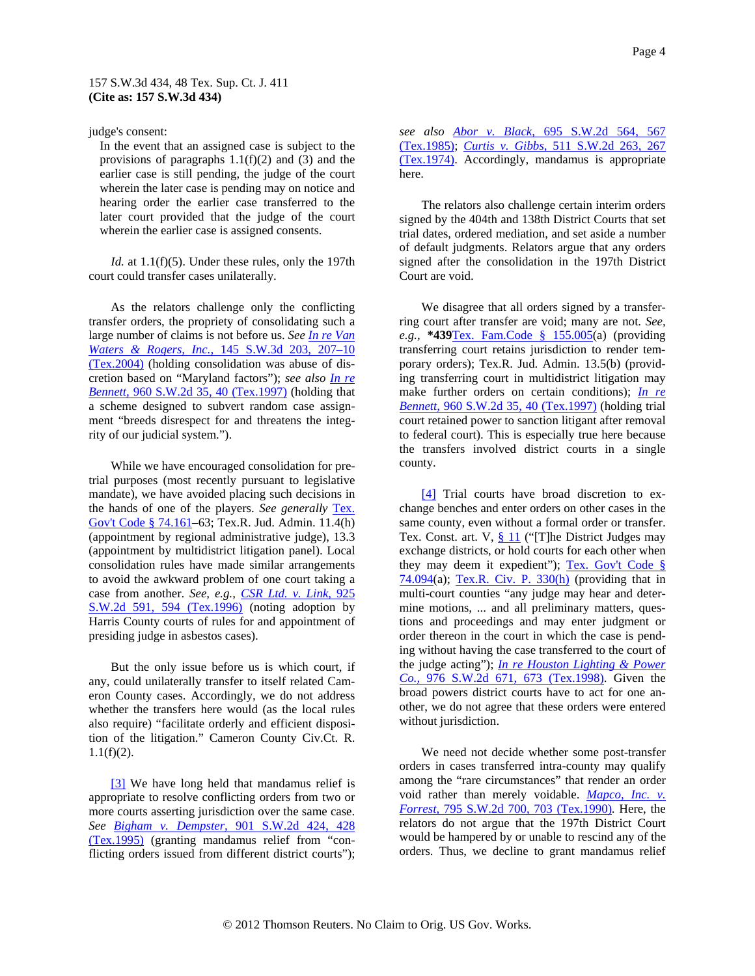<span id="page-3-0"></span>judge's consent:

In the event that an assigned case is subject to the provisions of paragraphs  $1.1(f)(2)$  and (3) and the earlier case is still pending, the judge of the court wherein the later case is pending may on notice and hearing order the earlier case transferred to the later court provided that the judge of the court wherein the earlier case is assigned consents.

*Id.* at 1.1(f)(5). Under these rules, only the 197th court could transfer cases unilaterally.

As the relators challenge only the conflicting transfer orders, the propriety of consolidating such a large number of claims is not before us. *See [In re Van](http://www.westlaw.com/Find/Default.wl?rs=dfa1.0&vr=2.0&DB=4644&FindType=Y&ReferencePositionType=S&SerialNum=2004994342&ReferencePosition=207)  [Waters & Rogers, Inc.,](http://www.westlaw.com/Find/Default.wl?rs=dfa1.0&vr=2.0&DB=4644&FindType=Y&ReferencePositionType=S&SerialNum=2004994342&ReferencePosition=207)* [145 S.W.3d 203, 207–10](http://www.westlaw.com/Find/Default.wl?rs=dfa1.0&vr=2.0&DB=4644&FindType=Y&ReferencePositionType=S&SerialNum=2004994342&ReferencePosition=207)  [\(Tex.2004\)](http://www.westlaw.com/Find/Default.wl?rs=dfa1.0&vr=2.0&DB=4644&FindType=Y&ReferencePositionType=S&SerialNum=2004994342&ReferencePosition=207) (holding consolidation was abuse of discretion based on "Maryland factors"); *see also [In re](http://www.westlaw.com/Find/Default.wl?rs=dfa1.0&vr=2.0&DB=713&FindType=Y&ReferencePositionType=S&SerialNum=1997238315&ReferencePosition=40)  [Bennett,](http://www.westlaw.com/Find/Default.wl?rs=dfa1.0&vr=2.0&DB=713&FindType=Y&ReferencePositionType=S&SerialNum=1997238315&ReferencePosition=40)* [960 S.W.2d 35, 40 \(Tex.1997\)](http://www.westlaw.com/Find/Default.wl?rs=dfa1.0&vr=2.0&DB=713&FindType=Y&ReferencePositionType=S&SerialNum=1997238315&ReferencePosition=40) (holding that a scheme designed to subvert random case assignment "breeds disrespect for and threatens the integrity of our judicial system.").

While we have encouraged consolidation for pretrial purposes (most recently pursuant to legislative mandate), we have avoided placing such decisions in the hands of one of the players. See generally **Tex.** [Gov't Code § 74.161–](http://www.westlaw.com/Find/Default.wl?rs=dfa1.0&vr=2.0&DB=1000176&DocName=TXGTS74.161&FindType=L)63; Tex.R. Jud. Admin. 11.4(h) (appointment by regional administrative judge), 13.3 (appointment by multidistrict litigation panel). Local consolidation rules have made similar arrangements to avoid the awkward problem of one court taking a case from another. *See, e.g., [CSR Ltd. v. Link,](http://www.westlaw.com/Find/Default.wl?rs=dfa1.0&vr=2.0&DB=713&FindType=Y&ReferencePositionType=S&SerialNum=1996136185&ReferencePosition=594)* [925](http://www.westlaw.com/Find/Default.wl?rs=dfa1.0&vr=2.0&DB=713&FindType=Y&ReferencePositionType=S&SerialNum=1996136185&ReferencePosition=594)  [S.W.2d 591, 594 \(Tex.1996\)](http://www.westlaw.com/Find/Default.wl?rs=dfa1.0&vr=2.0&DB=713&FindType=Y&ReferencePositionType=S&SerialNum=1996136185&ReferencePosition=594) (noting adoption by Harris County courts of rules for and appointment of presiding judge in asbestos cases).

But the only issue before us is which court, if any, could unilaterally transfer to itself related Cameron County cases. Accordingly, we do not address whether the transfers here would (as the local rules also require) "facilitate orderly and efficient disposition of the litigation." Cameron County Civ.Ct. R.  $1.1(f)(2)$ .

[\[3\]](#page-0-0) We have long held that mandamus relief is appropriate to resolve conflicting orders from two or more courts asserting jurisdiction over the same case. *See [Bigham v. Dempster,](http://www.westlaw.com/Find/Default.wl?rs=dfa1.0&vr=2.0&DB=713&FindType=Y&ReferencePositionType=S&SerialNum=1995125194&ReferencePosition=428)* [901 S.W.2d 424, 428](http://www.westlaw.com/Find/Default.wl?rs=dfa1.0&vr=2.0&DB=713&FindType=Y&ReferencePositionType=S&SerialNum=1995125194&ReferencePosition=428)  [\(Tex.1995\)](http://www.westlaw.com/Find/Default.wl?rs=dfa1.0&vr=2.0&DB=713&FindType=Y&ReferencePositionType=S&SerialNum=1995125194&ReferencePosition=428) (granting mandamus relief from "conflicting orders issued from different district courts"); *see also [Abor v. Black,](http://www.westlaw.com/Find/Default.wl?rs=dfa1.0&vr=2.0&DB=713&FindType=Y&ReferencePositionType=S&SerialNum=1985137326&ReferencePosition=567)* [695 S.W.2d 564, 567](http://www.westlaw.com/Find/Default.wl?rs=dfa1.0&vr=2.0&DB=713&FindType=Y&ReferencePositionType=S&SerialNum=1985137326&ReferencePosition=567)  [\(Tex.1985\);](http://www.westlaw.com/Find/Default.wl?rs=dfa1.0&vr=2.0&DB=713&FindType=Y&ReferencePositionType=S&SerialNum=1985137326&ReferencePosition=567) *[Curtis v. Gibbs,](http://www.westlaw.com/Find/Default.wl?rs=dfa1.0&vr=2.0&DB=713&FindType=Y&ReferencePositionType=S&SerialNum=1974131896&ReferencePosition=267)* [511 S.W.2d 263, 267](http://www.westlaw.com/Find/Default.wl?rs=dfa1.0&vr=2.0&DB=713&FindType=Y&ReferencePositionType=S&SerialNum=1974131896&ReferencePosition=267)  [\(Tex.1974\).](http://www.westlaw.com/Find/Default.wl?rs=dfa1.0&vr=2.0&DB=713&FindType=Y&ReferencePositionType=S&SerialNum=1974131896&ReferencePosition=267) Accordingly, mandamus is appropriate here.

The relators also challenge certain interim orders signed by the 404th and 138th District Courts that set trial dates, ordered mediation, and set aside a number of default judgments. Relators argue that any orders signed after the consolidation in the 197th District Court are void.

We disagree that all orders signed by a transferring court after transfer are void; many are not. *See, e.g.,* **\*439**[Tex. Fam.Code § 155.005\(](http://www.westlaw.com/Find/Default.wl?rs=dfa1.0&vr=2.0&DB=1000175&DocName=TXFAS155.005&FindType=L)a) (providing transferring court retains jurisdiction to render temporary orders); Tex.R. Jud. Admin. 13.5(b) (providing transferring court in multidistrict litigation may make further orders on certain conditions); *[In re](http://www.westlaw.com/Find/Default.wl?rs=dfa1.0&vr=2.0&DB=713&FindType=Y&ReferencePositionType=S&SerialNum=1997238315&ReferencePosition=40)  [Bennett,](http://www.westlaw.com/Find/Default.wl?rs=dfa1.0&vr=2.0&DB=713&FindType=Y&ReferencePositionType=S&SerialNum=1997238315&ReferencePosition=40)* [960 S.W.2d 35, 40 \(Tex.1997\)](http://www.westlaw.com/Find/Default.wl?rs=dfa1.0&vr=2.0&DB=713&FindType=Y&ReferencePositionType=S&SerialNum=1997238315&ReferencePosition=40) (holding trial court retained power to sanction litigant after removal to federal court). This is especially true here because the transfers involved district courts in a single county.

[\[4\]](#page-1-0) Trial courts have broad discretion to exchange benches and enter orders on other cases in the same county, even without a formal order or transfer. Tex. Const. art. V,  $\S 11$  ("The District Judges may exchange districts, or hold courts for each other when they may deem it expedient"); [Tex. Gov't Code §](http://www.westlaw.com/Find/Default.wl?rs=dfa1.0&vr=2.0&DB=1000176&DocName=TXGTS74.094&FindType=L)   $74.094(a)$  $74.094(a)$ ; [Tex.R. Civ. P. 330\(h\)](http://www.westlaw.com/Find/Default.wl?rs=dfa1.0&vr=2.0&DB=1005302&DocName=TXRRCPR330&FindType=L) (providing that in multi-court counties "any judge may hear and determine motions, ... and all preliminary matters, questions and proceedings and may enter judgment or order thereon in the court in which the case is pending without having the case transferred to the court of the judge acting"); *[In re Houston Lighting & Power](http://www.westlaw.com/Find/Default.wl?rs=dfa1.0&vr=2.0&DB=713&FindType=Y&ReferencePositionType=S&SerialNum=1998177678&ReferencePosition=673)  [Co.,](http://www.westlaw.com/Find/Default.wl?rs=dfa1.0&vr=2.0&DB=713&FindType=Y&ReferencePositionType=S&SerialNum=1998177678&ReferencePosition=673)* [976 S.W.2d 671, 673 \(Tex.1998\).](http://www.westlaw.com/Find/Default.wl?rs=dfa1.0&vr=2.0&DB=713&FindType=Y&ReferencePositionType=S&SerialNum=1998177678&ReferencePosition=673) Given the broad powers district courts have to act for one another, we do not agree that these orders were entered without jurisdiction.

We need not decide whether some post-transfer orders in cases transferred intra-county may qualify among the "rare circumstances" that render an order void rather than merely voidable. *[Mapco, Inc. v.](http://www.westlaw.com/Find/Default.wl?rs=dfa1.0&vr=2.0&DB=713&FindType=Y&ReferencePositionType=S&SerialNum=1990046461&ReferencePosition=703)  [Forrest,](http://www.westlaw.com/Find/Default.wl?rs=dfa1.0&vr=2.0&DB=713&FindType=Y&ReferencePositionType=S&SerialNum=1990046461&ReferencePosition=703)* [795 S.W.2d 700, 703 \(Tex.1990\)](http://www.westlaw.com/Find/Default.wl?rs=dfa1.0&vr=2.0&DB=713&FindType=Y&ReferencePositionType=S&SerialNum=1990046461&ReferencePosition=703). Here, the relators do not argue that the 197th District Court would be hampered by or unable to rescind any of the orders. Thus, we decline to grant mandamus relief